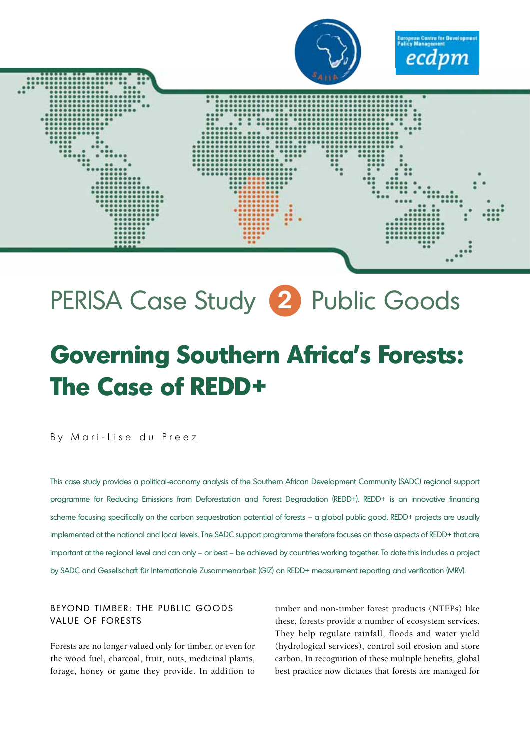

# PERISA Case Study **2** Public Goods

## **Governing Southern Africa's Forests: The Case of REDD+**

By Mari-Lise du Preez

This case study provides a political-economy analysis of the Southern African Development Community (SADC) regional support programme for Reducing Emissions from Deforestation and Forest Degradation (REDD+). REDD+ is an innovative financing scheme focusing specifically on the carbon sequestration potential of forests – a global public good. REDD+ projects are usually implemented at the national and local levels. The SADC support programme therefore focuses on those aspects of REDD+ that are important at the regional level and can only – or best – be achieved by countries working together. To date this includes a project by SADC and Gesellschaft für Internationale Zusammenarbeit (GIZ) on REDD+ measurement reporting and verification (MRV).

## BEYOND TIMBER: THE PUBLIC GOODS VALUE OF FORESTS

Forests are no longer valued only for timber, or even for the wood fuel, charcoal, fruit, nuts, medicinal plants, forage, honey or game they provide. In addition to

timber and non-timber forest products (NTFPs) like these, forests provide a number of ecosystem services. They help regulate rainfall, floods and water yield (hydrological services), control soil erosion and store carbon. In recognition of these multiple benefits, global best practice now dictates that forests are managed for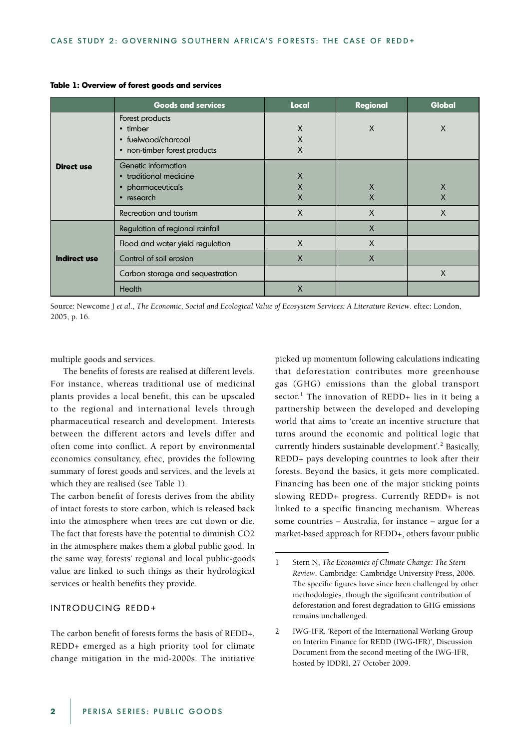|                   | <b>Goods and services</b>                                                                   | <b>Local</b>       | <b>Regional</b> | <b>Global</b>        |
|-------------------|---------------------------------------------------------------------------------------------|--------------------|-----------------|----------------------|
| <b>Direct use</b> | Forest products<br>• timber<br>• fuelwood/charcoal<br>• non-timber forest products          | X<br>X<br>X        | X               | X                    |
|                   | Genetic information<br>• traditional medicine<br>pharmaceuticals<br>$\bullet$<br>• research | X<br>X<br>$\times$ | X<br>X          | $\times$<br>$\times$ |
|                   | Recreation and tourism                                                                      | X                  | X               | X                    |
| Indirect use      | Regulation of regional rainfall                                                             |                    | X               |                      |
|                   | Flood and water yield regulation                                                            | $\mathsf{X}$       | X               |                      |
|                   | Control of soil erosion                                                                     | $\times$           | X               |                      |
|                   | Carbon storage and sequestration                                                            |                    |                 | X                    |
|                   | Health                                                                                      | $\times$           |                 |                      |

#### **Table 1: Overview of forest goods and services**

Source: Newcome J *et al*., *The Economic, Social and Ecological Value of Ecosystem Services: A Literature Review*. eftec: London, 2005, p. 16.

multiple goods and services.

The benefits of forests are realised at different levels. For instance, whereas traditional use of medicinal plants provides a local benefit, this can be upscaled to the regional and international levels through pharmaceutical research and development. Interests between the different actors and levels differ and often come into conflict. A report by environmental economics consultancy, eftec, provides the following summary of forest goods and services, and the levels at which they are realised (see Table 1).

The carbon benefit of forests derives from the ability of intact forests to store carbon, which is released back into the atmosphere when trees are cut down or die. The fact that forests have the potential to diminish CO2 in the atmosphere makes them a global public good. In the same way, forests' regional and local public-goods value are linked to such things as their hydrological services or health benefits they provide.

#### INTRODUCING REDD+

The carbon benefit of forests forms the basis of REDD+. REDD+ emerged as a high priority tool for climate change mitigation in the mid-2000s. The initiative

picked up momentum following calculations indicating that deforestation contributes more greenhouse gas (GHG) emissions than the global transport sector.<sup>1</sup> The innovation of REDD+ lies in it being a partnership between the developed and developing world that aims to 'create an incentive structure that turns around the economic and political logic that currently hinders sustainable development'.<sup>2</sup> Basically, REDD+ pays developing countries to look after their forests. Beyond the basics, it gets more complicated. Financing has been one of the major sticking points slowing REDD+ progress. Currently REDD+ is not linked to a specific financing mechanism. Whereas some countries – Australia, for instance – argue for a market-based approach for REDD+, others favour public

<sup>1</sup> Stern N, *The Economics of Climate Change: The Stern Review*. Cambridge: Cambridge University Press, 2006. The specific figures have since been challenged by other methodologies, though the significant contribution of deforestation and forest degradation to GHG emissions remains unchallenged.

<sup>2</sup> IWG-IFR, 'Report of the International Working Group on Interim Finance for REDD (IWG-IFR)', Discussion Document from the second meeting of the IWG-IFR, hosted by IDDRI, 27 October 2009.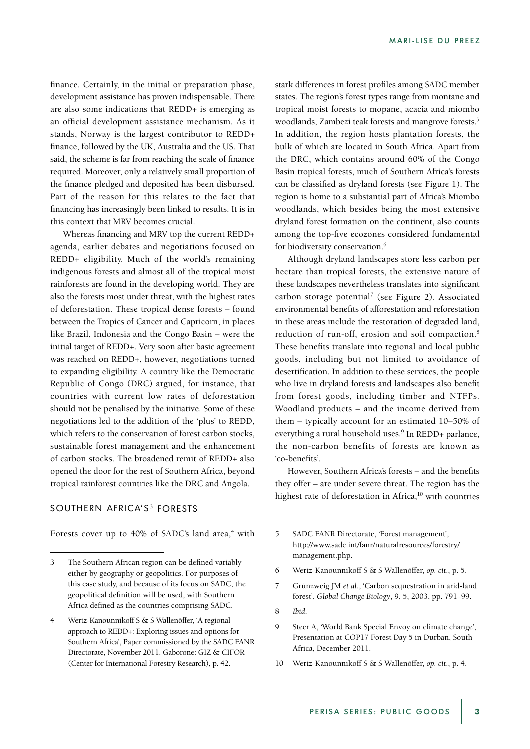finance. Certainly, in the initial or preparation phase, development assistance has proven indispensable. There are also some indications that REDD+ is emerging as an official development assistance mechanism. As it stands, Norway is the largest contributor to REDD+ finance, followed by the UK, Australia and the US. That said, the scheme is far from reaching the scale of finance required. Moreover, only a relatively small proportion of the finance pledged and deposited has been disbursed. Part of the reason for this relates to the fact that financing has increasingly been linked to results. It is in this context that MRV becomes crucial.

Whereas financing and MRV top the current REDD+ agenda, earlier debates and negotiations focused on REDD+ eligibility. Much of the world's remaining indigenous forests and almost all of the tropical moist rainforests are found in the developing world. They are also the forests most under threat, with the highest rates of deforestation. These tropical dense forests – found between the Tropics of Cancer and Capricorn, in places like Brazil, Indonesia and the Congo Basin – were the initial target of REDD+. Very soon after basic agreement was reached on REDD+, however, negotiations turned to expanding eligibility. A country like the Democratic Republic of Congo (DRC) argued, for instance, that countries with current low rates of deforestation should not be penalised by the initiative. Some of these negotiations led to the addition of the 'plus' to REDD, which refers to the conservation of forest carbon stocks, sustainable forest management and the enhancement of carbon stocks. The broadened remit of REDD+ also opened the door for the rest of Southern Africa, beyond tropical rainforest countries like the DRC and Angola.

### SOUTHERN AFRICA'S<sup>3</sup> FORESTS

Forests cover up to 40% of SADC's land area,<sup>4</sup> with

stark differences in forest profiles among SADC member states. The region's forest types range from montane and tropical moist forests to mopane, acacia and miombo woodlands, Zambezi teak forests and mangrove forests.<sup>5</sup> In addition, the region hosts plantation forests, the bulk of which are located in South Africa. Apart from the DRC, which contains around 60% of the Congo Basin tropical forests, much of Southern Africa's forests can be classified as dryland forests (see Figure 1). The region is home to a substantial part of Africa's Miombo woodlands, which besides being the most extensive dryland forest formation on the continent, also counts among the top-five ecozones considered fundamental for biodiversity conservation.<sup>6</sup>

Although dryland landscapes store less carbon per hectare than tropical forests, the extensive nature of these landscapes nevertheless translates into significant carbon storage potential<sup>7</sup> (see Figure 2). Associated environmental benefits of afforestation and reforestation in these areas include the restoration of degraded land, reduction of run-off, erosion and soil compaction.<sup>8</sup> These benefits translate into regional and local public goods, including but not limited to avoidance of desertification. In addition to these services, the people who live in dryland forests and landscapes also benefit from forest goods, including timber and NTFPs. Woodland products – and the income derived from them – typically account for an estimated 10–50% of everything a rural household uses.<sup>9</sup> In REDD+ parlance, the non-carbon benefits of forests are known as 'co-benefits'.

However, Southern Africa's forests – and the benefits they offer – are under severe threat. The region has the highest rate of deforestation in Africa,<sup>10</sup> with countries

<sup>3</sup> The Southern African region can be defined variably either by geography or geopolitics. For purposes of this case study, and because of its focus on SADC, the geopolitical definition will be used, with Southern Africa defined as the countries comprising SADC.

<sup>4</sup> Wertz-Kanounnikoff S & S Wallenöffer, 'A regional approach to REDD+: Exploring issues and options for Southern Africa', Paper commissioned by the SADC FANR Directorate, November 2011. Gaborone: GIZ & CIFOR (Center for International Forestry Research), p. 42.

<sup>5</sup> SADC FANR Directorate, 'Forest management', http://www.sadc.int/fanr/naturalresources/forestry/ management.php.

<sup>6</sup> Wertz-Kanounnikoff S & S Wallenöffer, *op. cit*., p. 5.

<sup>7</sup> Grünzweig JM *et al*., 'Carbon sequestration in arid-land forest', *Global Change Biology*, 9, 5, 2003, pp. 791–99.

<sup>8</sup> *Ibid*.

<sup>9</sup> Steer A, 'World Bank Special Envoy on climate change', Presentation at COP17 Forest Day 5 in Durban, South Africa, December 2011.

<sup>10</sup> Wertz-Kanounnikoff S & S Wallenöffer, *op. cit*., p. 4.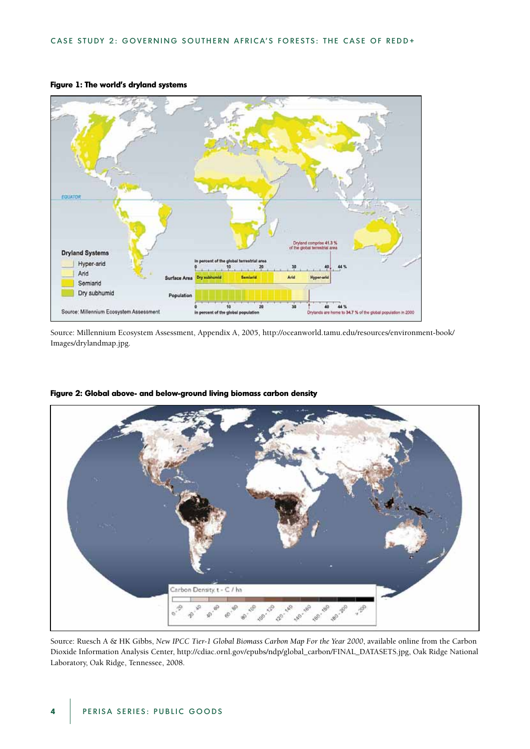

#### **Figure 1: The world's dryland systems**

Source: Millennium Ecosystem Assessment, Appendix A, 2005, http://oceanworld.tamu.edu/resources/environment-book/ Images/drylandmap.jpg.



**Figure 2: Global above- and below-ground living biomass carbon density**

Source: Ruesch A & HK Gibbs, *New IPCC Tier-1 Global Biomass Carbon Map For the Year 2000*, available online from the Carbon Dioxide Information Analysis Center, http://cdiac.ornl.gov/epubs/ndp/global\_carbon/FINAL\_DATASETS.jpg, Oak Ridge National Laboratory, Oak Ridge, Tennessee, 2008.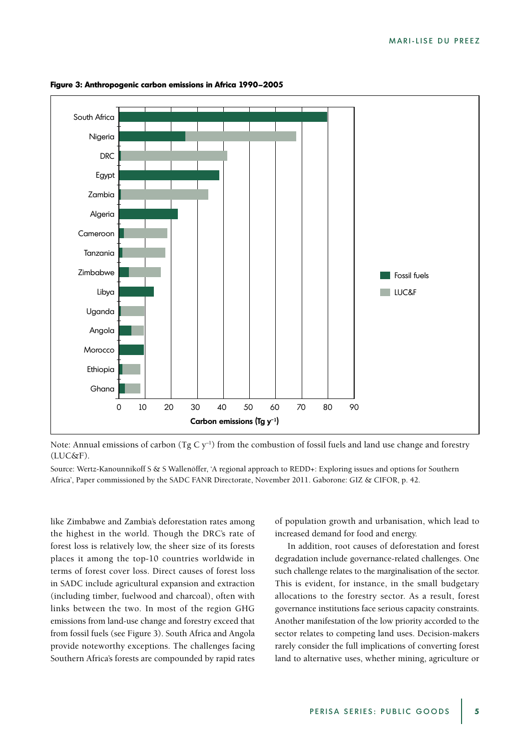

**Figure 3: Anthropogenic carbon emissions in Africa 1990–2005**

Note: Annual emissions of carbon (Tg C  $y^{-1}$ ) from the combustion of fossil fuels and land use change and forestry (LUC&F).

Source: Wertz-Kanounnikoff S & S Wallenöffer, 'A regional approach to REDD+: Exploring issues and options for Southern Africa', Paper commissioned by the SADC FANR Directorate, November 2011. Gaborone: GIZ & CIFOR, p. 42.

like Zimbabwe and Zambia's deforestation rates among the highest in the world. Though the DRC's rate of forest loss is relatively low, the sheer size of its forests places it among the top-10 countries worldwide in terms of forest cover loss. Direct causes of forest loss in SADC include agricultural expansion and extraction (including timber, fuelwood and charcoal), often with links between the two. In most of the region GHG emissions from land-use change and forestry exceed that from fossil fuels (see Figure 3). South Africa and Angola provide noteworthy exceptions. The challenges facing Southern Africa's forests are compounded by rapid rates

of population growth and urbanisation, which lead to increased demand for food and energy.

In addition, root causes of deforestation and forest degradation include governance-related challenges. One such challenge relates to the marginalisation of the sector. This is evident, for instance, in the small budgetary allocations to the forestry sector. As a result, forest governance institutions face serious capacity constraints. Another manifestation of the low priority accorded to the sector relates to competing land uses. Decision-makers rarely consider the full implications of converting forest land to alternative uses, whether mining, agriculture or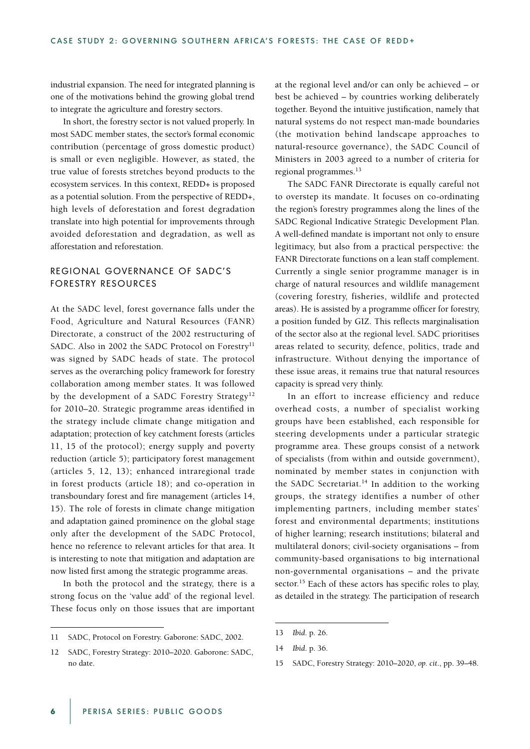industrial expansion. The need for integrated planning is one of the motivations behind the growing global trend to integrate the agriculture and forestry sectors.

In short, the forestry sector is not valued properly. In most SADC member states, the sector's formal economic contribution (percentage of gross domestic product) is small or even negligible. However, as stated, the true value of forests stretches beyond products to the ecosystem services. In this context, REDD+ is proposed as a potential solution. From the perspective of REDD+, high levels of deforestation and forest degradation translate into high potential for improvements through avoided deforestation and degradation, as well as afforestation and reforestation.

### REGIONAL GOVERNANCE OF SADC'S FORESTRY RESOURCES

At the SADC level, forest governance falls under the Food, Agriculture and Natural Resources (FANR) Directorate, a construct of the 2002 restructuring of SADC. Also in 2002 the SADC Protocol on Forestry<sup>11</sup> was signed by SADC heads of state. The protocol serves as the overarching policy framework for forestry collaboration among member states. It was followed by the development of a SADC Forestry Strategy<sup>12</sup> for 2010–20. Strategic programme areas identified in the strategy include climate change mitigation and adaptation; protection of key catchment forests (articles 11, 15 of the protocol); energy supply and poverty reduction (article 5); participatory forest management (articles 5, 12, 13); enhanced intraregional trade in forest products (article 18); and co-operation in transboundary forest and fire management (articles 14, 15). The role of forests in climate change mitigation and adaptation gained prominence on the global stage only after the development of the SADC Protocol, hence no reference to relevant articles for that area. It is interesting to note that mitigation and adaptation are now listed first among the strategic programme areas.

In both the protocol and the strategy, there is a strong focus on the 'value add' of the regional level. These focus only on those issues that are important

at the regional level and/or can only be achieved – or best be achieved – by countries working deliberately together. Beyond the intuitive justification, namely that natural systems do not respect man-made boundaries (the motivation behind landscape approaches to natural-resource governance), the SADC Council of Ministers in 2003 agreed to a number of criteria for regional programmes.<sup>13</sup>

The SADC FANR Directorate is equally careful not to overstep its mandate. It focuses on co-ordinating the region's forestry programmes along the lines of the SADC Regional Indicative Strategic Development Plan. A well-defined mandate is important not only to ensure legitimacy, but also from a practical perspective: the FANR Directorate functions on a lean staff complement. Currently a single senior programme manager is in charge of natural resources and wildlife management (covering forestry, fisheries, wildlife and protected areas). He is assisted by a programme officer for forestry, a position funded by GIZ. This reflects marginalisation of the sector also at the regional level. SADC prioritises areas related to security, defence, politics, trade and infrastructure. Without denying the importance of these issue areas, it remains true that natural resources capacity is spread very thinly.

In an effort to increase efficiency and reduce overhead costs, a number of specialist working groups have been established, each responsible for steering developments under a particular strategic programme area. These groups consist of a network of specialists (from within and outside government), nominated by member states in conjunction with the SADC Secretariat.<sup>14</sup> In addition to the working groups, the strategy identifies a number of other implementing partners, including member states' forest and environmental departments; institutions of higher learning; research institutions; bilateral and multilateral donors; civil-society organisations – from community-based organisations to big international non-governmental organisations – and the private sector.<sup>15</sup> Each of these actors has specific roles to play, as detailed in the strategy. The participation of research

<sup>11</sup> SADC, Protocol on Forestry. Gaborone: SADC, 2002.

<sup>12</sup> SADC, Forestry Strategy: 2010–2020. Gaborone: SADC, no date.

<sup>13</sup> *Ibid*. p. 26.

<sup>14</sup> *Ibid*. p. 36.

<sup>15</sup> SADC, Forestry Strategy: 2010–2020, *op. cit*., pp. 39–48.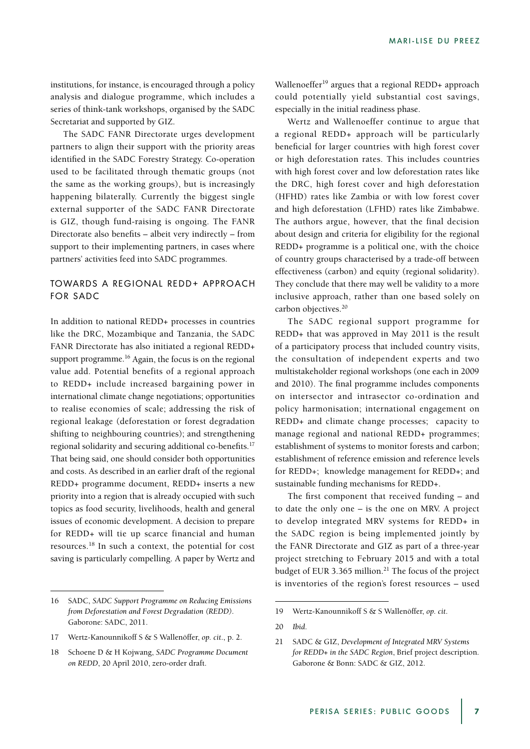institutions, for instance, is encouraged through a policy analysis and dialogue programme, which includes a series of think-tank workshops, organised by the SADC Secretariat and supported by GIZ.

The SADC FANR Directorate urges development partners to align their support with the priority areas identified in the SADC Forestry Strategy. Co-operation used to be facilitated through thematic groups (not the same as the working groups), but is increasingly happening bilaterally. Currently the biggest single external supporter of the SADC FANR Directorate is GIZ, though fund-raising is ongoing. The FANR Directorate also benefits – albeit very indirectly – from support to their implementing partners, in cases where partners' activities feed into SADC programmes.

## TOWARDS A REGIONAL REDD+ APPROACH FOR SADC

In addition to national REDD+ processes in countries like the DRC, Mozambique and Tanzania, the SADC FANR Directorate has also initiated a regional REDD+ support programme.<sup>16</sup> Again, the focus is on the regional value add. Potential benefits of a regional approach to REDD+ include increased bargaining power in international climate change negotiations; opportunities to realise economies of scale; addressing the risk of regional leakage (deforestation or forest degradation shifting to neighbouring countries); and strengthening regional solidarity and securing additional co-benefits.17 That being said, one should consider both opportunities and costs. As described in an earlier draft of the regional REDD+ programme document, REDD+ inserts a new priority into a region that is already occupied with such topics as food security, livelihoods, health and general issues of economic development. A decision to prepare for REDD+ will tie up scarce financial and human resources.18 In such a context, the potential for cost saving is particularly compelling. A paper by Wertz and

Wallenoeffer<sup>19</sup> argues that a regional REDD+ approach could potentially yield substantial cost savings, especially in the initial readiness phase.

Wertz and Wallenoeffer continue to argue that a regional REDD+ approach will be particularly beneficial for larger countries with high forest cover or high deforestation rates. This includes countries with high forest cover and low deforestation rates like the DRC, high forest cover and high deforestation (HFHD) rates like Zambia or with low forest cover and high deforestation (LFHD) rates like Zimbabwe. The authors argue, however, that the final decision about design and criteria for eligibility for the regional REDD+ programme is a political one, with the choice of country groups characterised by a trade-off between effectiveness (carbon) and equity (regional solidarity). They conclude that there may well be validity to a more inclusive approach, rather than one based solely on carbon objectives.<sup>20</sup>

The SADC regional support programme for REDD+ that was approved in May 2011 is the result of a participatory process that included country visits, the consultation of independent experts and two multistakeholder regional workshops (one each in 2009 and 2010). The final programme includes components on intersector and intrasector co-ordination and policy harmonisation; international engagement on REDD+ and climate change processes; capacity to manage regional and national REDD+ programmes; establishment of systems to monitor forests and carbon; establishment of reference emission and reference levels for REDD+; knowledge management for REDD+; and sustainable funding mechanisms for REDD+.

The first component that received funding – and to date the only one – is the one on MRV. A project to develop integrated MRV systems for REDD+ in the SADC region is being implemented jointly by the FANR Directorate and GIZ as part of a three-year project stretching to February 2015 and with a total budget of EUR 3.365 million.<sup>21</sup> The focus of the project is inventories of the region's forest resources – used

<sup>16</sup> SADC, *SADC Support Programme on Reducing Emissions from Deforestation and Forest Degradation (REDD)*. Gaborone: SADC, 2011.

<sup>17</sup> Wertz-Kanounnikoff S & S Wallenöffer, *op. cit*., p. 2.

<sup>18</sup> Schoene D & H Kojwang, *SADC Programme Document on REDD*, 20 April 2010, zero-order draft.

<sup>19</sup> Wertz-Kanounnikoff S & S Wallenöffer, *op. cit*.

<sup>20</sup> *Ibid*.

<sup>21</sup> SADC & GIZ, *Development of Integrated MRV Systems for REDD+ in the SADC Region*, Brief project description. Gaborone & Bonn: SADC & GIZ, 2012.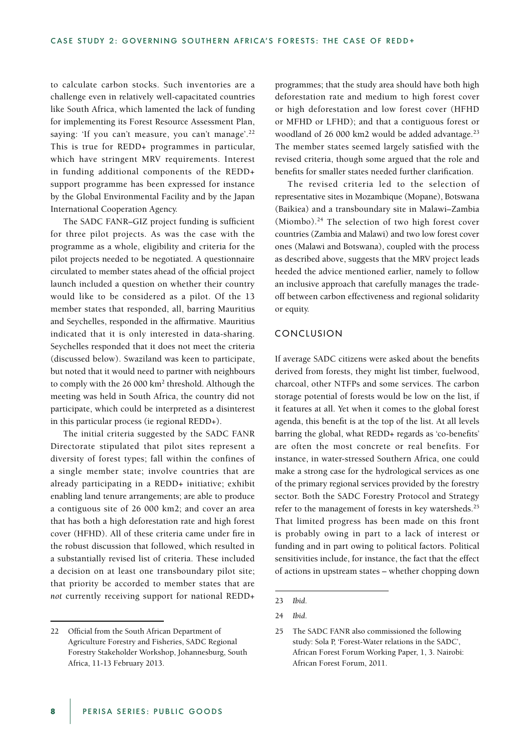to calculate carbon stocks. Such inventories are a challenge even in relatively well-capacitated countries like South Africa, which lamented the lack of funding for implementing its Forest Resource Assessment Plan, saying: 'If you can't measure, you can't manage'.<sup>22</sup> This is true for REDD+ programmes in particular, which have stringent MRV requirements. Interest in funding additional components of the REDD+ support programme has been expressed for instance by the Global Environmental Facility and by the Japan International Cooperation Agency.

The SADC FANR–GIZ project funding is sufficient for three pilot projects. As was the case with the programme as a whole, eligibility and criteria for the pilot projects needed to be negotiated. A questionnaire circulated to member states ahead of the official project launch included a question on whether their country would like to be considered as a pilot. Of the 13 member states that responded, all, barring Mauritius and Seychelles, responded in the affirmative. Mauritius indicated that it is only interested in data-sharing. Seychelles responded that it does not meet the criteria (discussed below). Swaziland was keen to participate, but noted that it would need to partner with neighbours to comply with the 26 000 km<sup>2</sup> threshold. Although the meeting was held in South Africa, the country did not participate, which could be interpreted as a disinterest in this particular process (ie regional REDD+).

The initial criteria suggested by the SADC FANR Directorate stipulated that pilot sites represent a diversity of forest types; fall within the confines of a single member state; involve countries that are already participating in a REDD+ initiative; exhibit enabling land tenure arrangements; are able to produce a contiguous site of 26 000 km2; and cover an area that has both a high deforestation rate and high forest cover (HFHD). All of these criteria came under fire in the robust discussion that followed, which resulted in a substantially revised list of criteria. These included a decision on at least one transboundary pilot site; that priority be accorded to member states that are *not* currently receiving support for national REDD+

programmes; that the study area should have both high deforestation rate and medium to high forest cover or high deforestation and low forest cover (HFHD or MFHD or LFHD); and that a contiguous forest or woodland of 26 000 km2 would be added advantage.<sup>23</sup> The member states seemed largely satisfied with the revised criteria, though some argued that the role and benefits for smaller states needed further clarification.

The revised criteria led to the selection of representative sites in Mozambique (Mopane), Botswana (Baikiea) and a transboundary site in Malawi–Zambia (Miombo). $24$  The selection of two high forest cover countries (Zambia and Malawi) and two low forest cover ones (Malawi and Botswana), coupled with the process as described above, suggests that the MRV project leads heeded the advice mentioned earlier, namely to follow an inclusive approach that carefully manages the tradeoff between carbon effectiveness and regional solidarity or equity.

#### CONCLUSION

If average SADC citizens were asked about the benefits derived from forests, they might list timber, fuelwood, charcoal, other NTFPs and some services. The carbon storage potential of forests would be low on the list, if it features at all. Yet when it comes to the global forest agenda, this benefit is at the top of the list. At all levels barring the global, what REDD+ regards as 'co-benefits' are often the most concrete or real benefits. For instance, in water-stressed Southern Africa, one could make a strong case for the hydrological services as one of the primary regional services provided by the forestry sector. Both the SADC Forestry Protocol and Strategy refer to the management of forests in key watersheds.<sup>25</sup> That limited progress has been made on this front is probably owing in part to a lack of interest or funding and in part owing to political factors. Political sensitivities include, for instance, the fact that the effect of actions in upstream states – whether chopping down

<sup>22</sup> Official from the South African Department of Agriculture Forestry and Fisheries, SADC Regional Forestry Stakeholder Workshop, Johannesburg, South Africa, 11-13 February 2013.

<sup>23</sup> *Ibid*.

<sup>24</sup> *Ibid*.

<sup>25</sup> The SADC FANR also commissioned the following study: Sola P, 'Forest-Water relations in the SADC', African Forest Forum Working Paper, 1, 3. Nairobi: African Forest Forum, 2011.